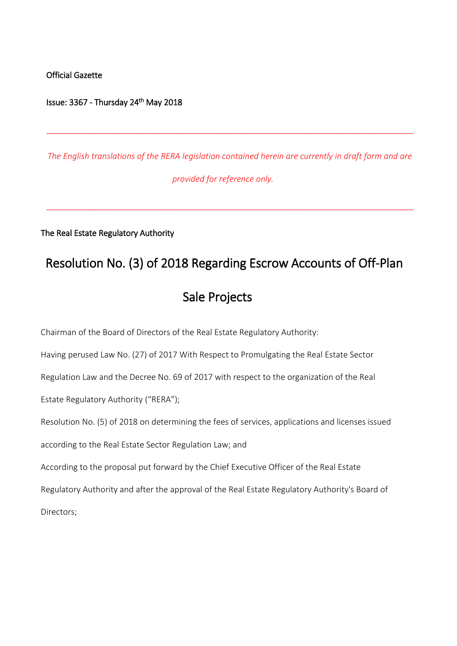Official Gazette

Issue: 3367 - Thursday 24th May 2018

*The English translations of the RERA legislation contained herein are currently in draft form and are provided for reference only.*

\_\_\_\_\_\_\_\_\_\_\_\_\_\_\_\_\_\_\_\_\_\_\_\_\_\_\_\_\_\_\_\_\_\_\_\_\_\_\_\_\_\_\_\_\_\_\_\_\_\_\_\_\_\_\_\_\_\_\_\_\_\_\_\_\_\_\_\_\_\_\_\_\_\_\_\_\_\_\_\_

\_\_\_\_\_\_\_\_\_\_\_\_\_\_\_\_\_\_\_\_\_\_\_\_\_\_\_\_\_\_\_\_\_\_\_\_\_\_\_\_\_\_\_\_\_\_\_\_\_\_\_\_\_\_\_\_\_\_\_\_\_\_\_\_\_\_\_\_\_\_\_\_\_\_\_\_\_\_\_\_

The Real Estate Regulatory Authority

# Resolution No. (3) of 2018 Regarding Escrow Accounts of Off-Plan

# Sale Projects

Chairman of the Board of Directors of the Real Estate Regulatory Authority:

Having perused Law No. (27) of 2017 With Respect to Promulgating the Real Estate Sector

Regulation Law and the Decree No. 69 of 2017 with respect to the organization of the Real

Estate Regulatory Authority ("RERA");

Resolution No. (5) of 2018 on determining the fees of services, applications and licenses issued according to the Real Estate Sector Regulation Law; and

According to the proposal put forward by the Chief Executive Officer of the Real Estate Regulatory Authority and after the approval of the Real Estate Regulatory Authority's Board of Directors;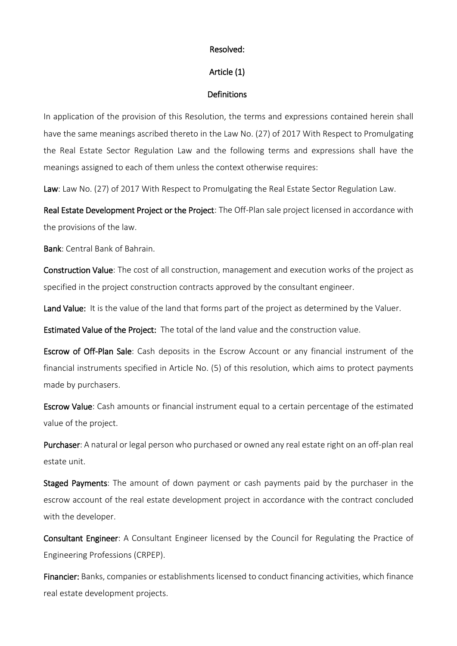#### Resolved:

#### Article (1)

#### Definitions

In application of the provision of this Resolution, the terms and expressions contained herein shall have the same meanings ascribed thereto in the Law No. (27) of 2017 With Respect to Promulgating the Real Estate Sector Regulation Law and the following terms and expressions shall have the meanings assigned to each of them unless the context otherwise requires:

Law: Law No. (27) of 2017 With Respect to Promulgating the Real Estate Sector Regulation Law.

Real Estate Development Project or the Project: The Off-Plan sale project licensed in accordance with the provisions of the law.

Bank: Central Bank of Bahrain.

Construction Value: The cost of all construction, management and execution works of the project as specified in the project construction contracts approved by the consultant engineer.

Land Value: It is the value of the land that forms part of the project as determined by the Valuer.

Estimated Value of the Project: The total of the land value and the construction value.

Escrow of Off-Plan Sale: Cash deposits in the Escrow Account or any financial instrument of the financial instruments specified in Article No. (5) of this resolution, which aims to protect payments made by purchasers.

Escrow Value: Cash amounts or financial instrument equal to a certain percentage of the estimated value of the project.

Purchaser: A natural or legal person who purchased or owned any real estate right on an off-plan real estate unit.

Staged Payments: The amount of down payment or cash payments paid by the purchaser in the escrow account of the real estate development project in accordance with the contract concluded with the developer.

Consultant Engineer: A Consultant Engineer licensed by the Council for Regulating the Practice of Engineering Professions (CRPEP).

Financier: Banks, companies or establishments licensed to conduct financing activities, which finance real estate development projects.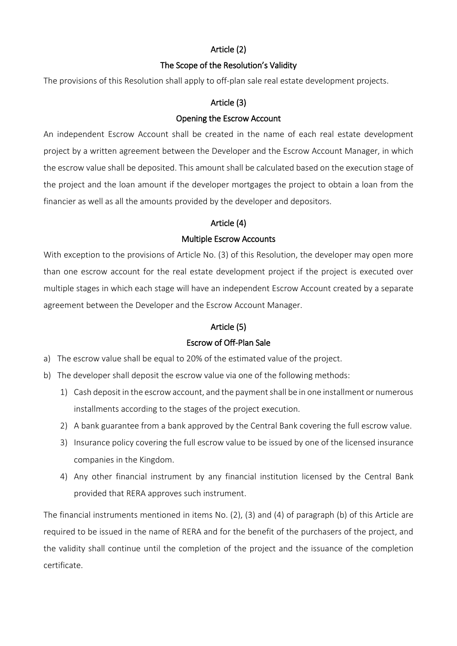# Article (2)

# The Scope of the Resolution's Validity

The provisions of this Resolution shall apply to off-plan sale real estate development projects.

## Article (3)

## Opening the Escrow Account

An independent Escrow Account shall be created in the name of each real estate development project by a written agreement between the Developer and the Escrow Account Manager, in which the escrow value shall be deposited. This amount shall be calculated based on the execution stage of the project and the loan amount if the developer mortgages the project to obtain a loan from the financier as well as all the amounts provided by the developer and depositors.

# Article (4)

#### Multiple Escrow Accounts

With exception to the provisions of Article No. (3) of this Resolution, the developer may open more than one escrow account for the real estate development project if the project is executed over multiple stages in which each stage will have an independent Escrow Account created by a separate agreement between the Developer and the Escrow Account Manager.

# Article (5)

# Escrow of Off-Plan Sale

- a) The escrow value shall be equal to 20% of the estimated value of the project.
- b) The developer shall deposit the escrow value via one of the following methods:
	- 1) Cash deposit in the escrow account, and the payment shall be in one installment or numerous installments according to the stages of the project execution.
	- 2) A bank guarantee from a bank approved by the Central Bank covering the full escrow value.
	- 3) Insurance policy covering the full escrow value to be issued by one of the licensed insurance companies in the Kingdom.
	- 4) Any other financial instrument by any financial institution licensed by the Central Bank provided that RERA approves such instrument.

The financial instruments mentioned in items No. (2), (3) and (4) of paragraph (b) of this Article are required to be issued in the name of RERA and for the benefit of the purchasers of the project, and the validity shall continue until the completion of the project and the issuance of the completion certificate.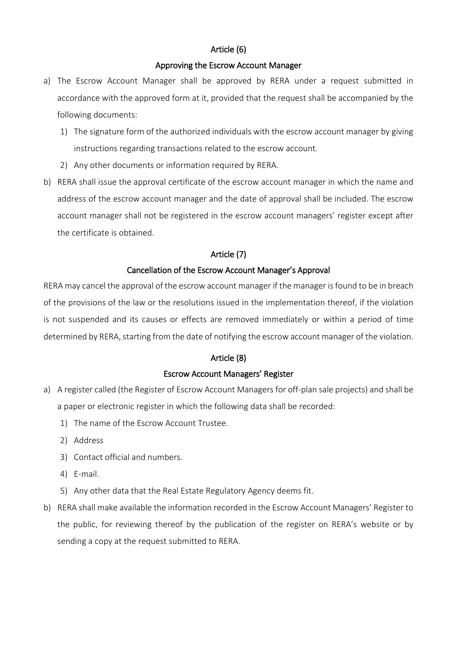# Article (6)

#### Approving the Escrow Account Manager

- a) The Escrow Account Manager shall be approved by RERA under a request submitted in accordance with the approved form at it, provided that the request shall be accompanied by the following documents:
	- 1) The signature form of the authorized individuals with the escrow account manager by giving instructions regarding transactions related to the escrow account.
	- 2) Any other documents or information required by RERA.
- b) RERA shall issue the approval certificate of the escrow account manager in which the name and address of the escrow account manager and the date of approval shall be included. The escrow account manager shall not be registered in the escrow account managers' register except after the certificate is obtained.

# Article (7)

#### Cancellation of the Escrow Account Manager's Approval

RERA may cancel the approval of the escrow account manager if the manager is found to be in breach of the provisions of the law or the resolutions issued in the implementation thereof, if the violation is not suspended and its causes or effects are removed immediately or within a period of time determined by RERA, starting from the date of notifying the escrow account manager of the violation.

#### Article (8)

#### Escrow Account Managers' Register

- a) A register called (the Register of Escrow Account Managers for off-plan sale projects) and shall be a paper or electronic register in which the following data shall be recorded:
	- 1) The name of the Escrow Account Trustee.
	- 2) Address
	- 3) Contact official and numbers.
	- 4) E-mail.
	- 5) Any other data that the Real Estate Regulatory Agency deems fit.
- b) RERA shall make available the information recorded in the Escrow Account Managers' Register to the public, for reviewing thereof by the publication of the register on RERA's website or by sending a copy at the request submitted to RERA.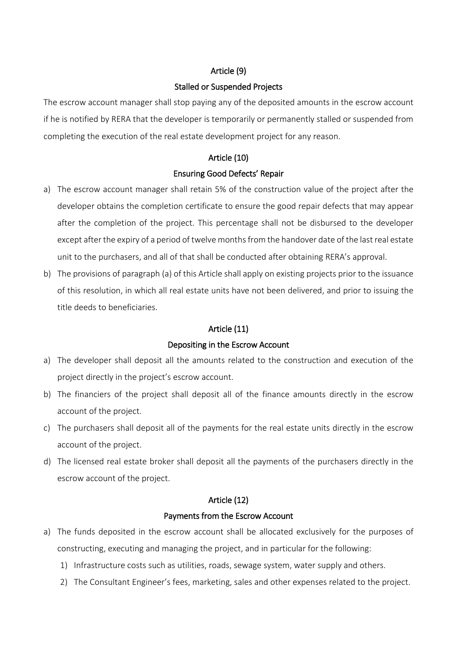## Article (9)

#### Stalled or Suspended Projects

The escrow account manager shall stop paying any of the deposited amounts in the escrow account if he is notified by RERA that the developer is temporarily or permanently stalled or suspended from completing the execution of the real estate development project for any reason.

## Article (10)

## Ensuring Good Defects' Repair

- a) The escrow account manager shall retain 5% of the construction value of the project after the developer obtains the completion certificate to ensure the good repair defects that may appear after the completion of the project. This percentage shall not be disbursed to the developer except after the expiry of a period of twelve months from the handover date of the last real estate unit to the purchasers, and all of that shall be conducted after obtaining RERA's approval.
- b) The provisions of paragraph (a) of this Article shall apply on existing projects prior to the issuance of this resolution, in which all real estate units have not been delivered, and prior to issuing the title deeds to beneficiaries.

# Article (11)

# Depositing in the Escrow Account

- a) The developer shall deposit all the amounts related to the construction and execution of the project directly in the project's escrow account.
- b) The financiers of the project shall deposit all of the finance amounts directly in the escrow account of the project.
- c) The purchasers shall deposit all of the payments for the real estate units directly in the escrow account of the project.
- d) The licensed real estate broker shall deposit all the payments of the purchasers directly in the escrow account of the project.

#### Article (12)

#### Payments from the Escrow Account

- a) The funds deposited in the escrow account shall be allocated exclusively for the purposes of constructing, executing and managing the project, and in particular for the following:
	- 1) Infrastructure costs such as utilities, roads, sewage system, water supply and others.
	- 2) The Consultant Engineer's fees, marketing, sales and other expenses related to the project.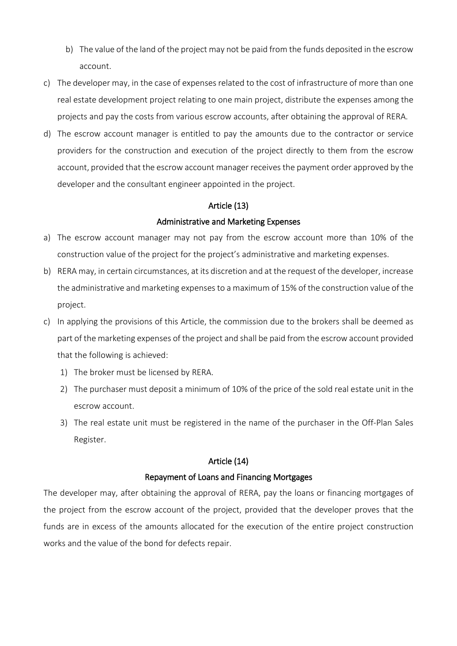- b) The value of the land of the project may not be paid from the funds deposited in the escrow account.
- c) The developer may, in the case of expenses related to the cost of infrastructure of more than one real estate development project relating to one main project, distribute the expenses among the projects and pay the costs from various escrow accounts, after obtaining the approval of RERA.
- d) The escrow account manager is entitled to pay the amounts due to the contractor or service providers for the construction and execution of the project directly to them from the escrow account, provided that the escrow account manager receives the payment order approved by the developer and the consultant engineer appointed in the project.

#### Article (13)

#### Administrative and Marketing Expenses

- a) The escrow account manager may not pay from the escrow account more than 10% of the construction value of the project for the project's administrative and marketing expenses.
- b) RERA may, in certain circumstances, at its discretion and at the request of the developer, increase the administrative and marketing expenses to a maximum of 15% of the construction value of the project.
- c) In applying the provisions of this Article, the commission due to the brokers shall be deemed as part of the marketing expenses of the project and shall be paid from the escrow account provided that the following is achieved:
	- 1) The broker must be licensed by RERA.
	- 2) The purchaser must deposit a minimum of 10% of the price of the sold real estate unit in the escrow account.
	- 3) The real estate unit must be registered in the name of the purchaser in the Off-Plan Sales Register.

#### Article (14)

#### Repayment of Loans and Financing Mortgages

The developer may, after obtaining the approval of RERA, pay the loans or financing mortgages of the project from the escrow account of the project, provided that the developer proves that the funds are in excess of the amounts allocated for the execution of the entire project construction works and the value of the bond for defects repair.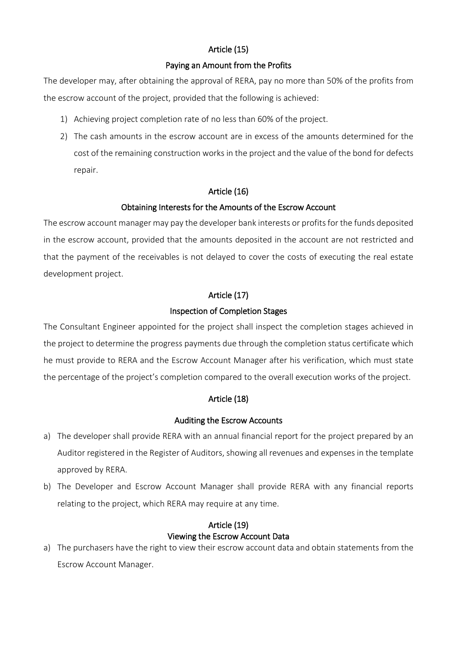# Article (15)

## Paying an Amount from the Profits

The developer may, after obtaining the approval of RERA, pay no more than 50% of the profits from the escrow account of the project, provided that the following is achieved:

- 1) Achieving project completion rate of no less than 60% of the project.
- 2) The cash amounts in the escrow account are in excess of the amounts determined for the cost of the remaining construction works in the project and the value of the bond for defects repair.

## Article (16)

## Obtaining Interests for the Amounts of the Escrow Account

The escrow account manager may pay the developer bank interests or profits for the funds deposited in the escrow account, provided that the amounts deposited in the account are not restricted and that the payment of the receivables is not delayed to cover the costs of executing the real estate development project.

#### Article (17)

#### Inspection of Completion Stages

The Consultant Engineer appointed for the project shall inspect the completion stages achieved in the project to determine the progress payments due through the completion status certificate which he must provide to RERA and the Escrow Account Manager after his verification, which must state the percentage of the project's completion compared to the overall execution works of the project.

#### Article (18)

#### Auditing the Escrow Accounts

- a) The developer shall provide RERA with an annual financial report for the project prepared by an Auditor registered in the Register of Auditors, showing all revenues and expenses in the template approved by RERA.
- b) The Developer and Escrow Account Manager shall provide RERA with any financial reports relating to the project, which RERA may require at any time.

# Article (19) Viewing the Escrow Account Data

a) The purchasers have the right to view their escrow account data and obtain statements from the Escrow Account Manager.